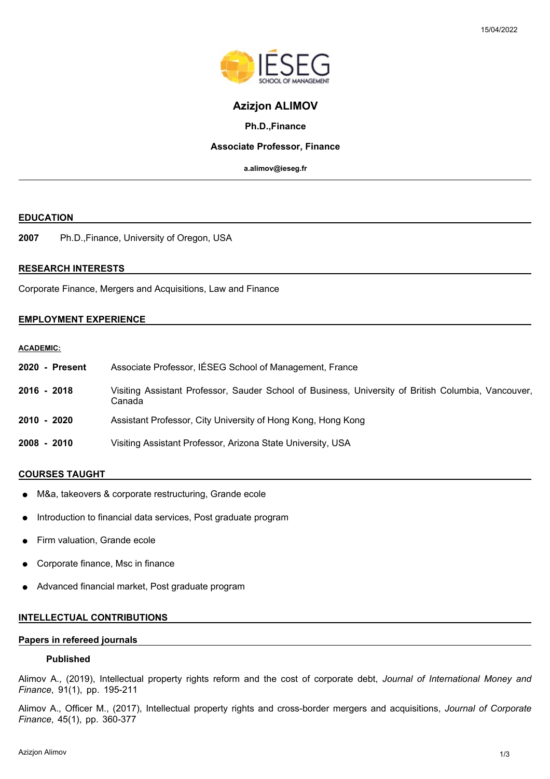

# **Azizjon ALIMOV**

### **Ph.D.,Finance**

## **Associate Professor, Finance**

**a.alimov@ieseg.fr**

#### **EDUCATION**

**2007** Ph.D.,Finance, University of Oregon, USA

## **RESEARCH INTERESTS**

Corporate Finance, Mergers and Acquisitions, Law and Finance

## **EMPLOYMENT EXPERIENCE**

# **ACADEMIC:**

| 2020 - Present | Associate Professor, IÉSEG School of Management, France                                                       |
|----------------|---------------------------------------------------------------------------------------------------------------|
| $2016 - 2018$  | Visiting Assistant Professor, Sauder School of Business, University of British Columbia, Vancouver,<br>Canada |
| 2010 - 2020    | Assistant Professor, City University of Hong Kong, Hong Kong                                                  |
| $2008 - 2010$  | Visiting Assistant Professor, Arizona State University, USA                                                   |

### **COURSES TAUGHT**

- M&a, takeovers & corporate restructuring, Grande ecole
- Introduction to financial data services, Post graduate program
- Firm valuation, Grande ecole
- Corporate finance, Msc in finance
- Advanced financial market, Post graduate program

#### **INTELLECTUAL CONTRIBUTIONS**

## **Papers in refereed journals**

### **Published**

Alimov A., (2019), Intellectual property rights reform and the cost of corporate debt, *Journal of International Money and Finance*, 91(1), pp. 195-211

Alimov A., Officer M., (2017), Intellectual property rights and cross-border mergers and acquisitions, *Journal of Corporate Finance*, 45(1), pp. 360-377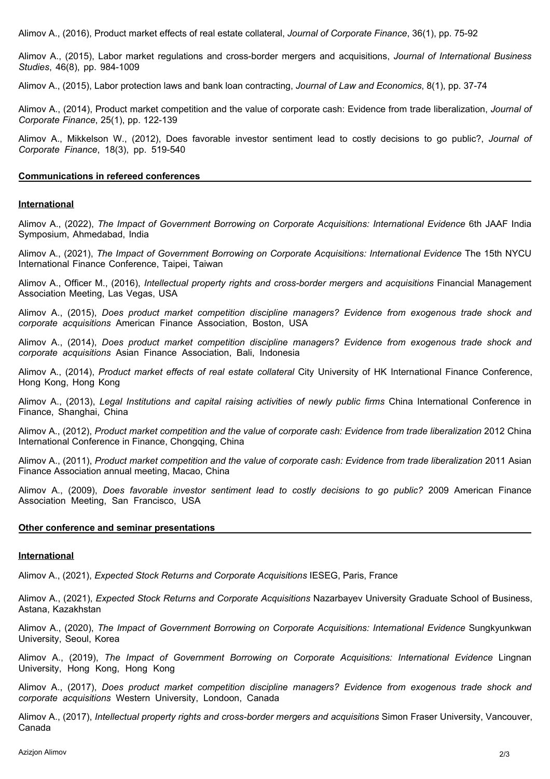Alimov A., (2016), Product market effects of real estate collateral, *Journal of Corporate Finance*, 36(1), pp. 75-92

Alimov A., (2015), Labor market regulations and cross-border mergers and acquisitions, *Journal of International Business Studies*, 46(8), pp. 984-1009

Alimov A., (2015), Labor protection laws and bank loan contracting, *Journal of Law and Economics*, 8(1), pp. 37-74

Alimov A., (2014), Product market competition and the value of corporate cash: Evidence from trade liberalization, *Journal of Corporate Finance*, 25(1), pp. 122-139

Alimov A., Mikkelson W., (2012), Does favorable investor sentiment lead to costly decisions to go public?, *Journal of Corporate Finance*, 18(3), pp. 519-540

#### **Communications in refereed conferences**

### **International**

Alimov A., (2022), *The Impact of Government Borrowing on Corporate Acquisitions: International Evidence* 6th JAAF India Symposium, Ahmedabad, India

Alimov A., (2021), *The Impact of Government Borrowing on Corporate Acquisitions: International Evidence* The 15th NYCU International Finance Conference, Taipei, Taiwan

Alimov A., Officer M., (2016), *Intellectual property rights and cross-border mergers and acquisitions* Financial Management Association Meeting, Las Vegas, USA

Alimov A., (2015), *Does product market competition discipline managers? Evidence from exogenous trade shock and corporate acquisitions* American Finance Association, Boston, USA

Alimov A., (2014), *Does product market competition discipline managers? Evidence from exogenous trade shock and corporate acquisitions* Asian Finance Association, Bali, Indonesia

Alimov A., (2014), *Product market effects of real estate collateral* City University of HK International Finance Conference, Hong Kong, Hong Kong

Alimov A., (2013), *Legal Institutions and capital raising activities of newly public firms* China International Conference in Finance, Shanghai, China

Alimov A., (2012), *Product market competition and the value of corporate cash: Evidence from trade liberalization* 2012 China International Conference in Finance, Chongqing, China

Alimov A., (2011), *Product market competition and the value of corporate cash: Evidence from trade liberalization* 2011 Asian Finance Association annual meeting, Macao, China

Alimov A., (2009), *Does favorable investor sentiment lead to costly decisions to go public?* 2009 American Finance Association Meeting, San Francisco, USA

#### **Other conference and seminar presentations**

#### **International**

Alimov A., (2021), *Expected Stock Returns and Corporate Acquisitions* IESEG, Paris, France

Alimov A., (2021), *Expected Stock Returns and Corporate Acquisitions* Nazarbayev University Graduate School of Business, Astana, Kazakhstan

Alimov A., (2020), *The Impact of Government Borrowing on Corporate Acquisitions: International Evidence* Sungkyunkwan University, Seoul, Korea

Alimov A., (2019), *The Impact of Government Borrowing on Corporate Acquisitions: International Evidence* Lingnan University, Hong Kong, Hong Kong

Alimov A., (2017), *Does product market competition discipline managers? Evidence from exogenous trade shock and corporate acquisitions* Western University, Londoon, Canada

Alimov A., (2017), *Intellectual property rights and cross-border mergers and acquisitions* Simon Fraser University, Vancouver, Canada